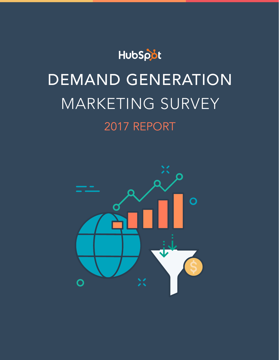

# DEMAND GENERATION MARKETING SURVEY 2017 REPORT

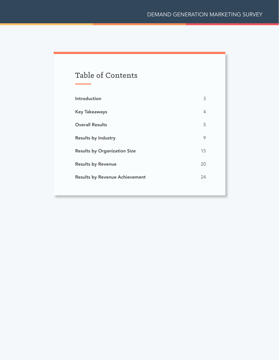## Table of Contents

| Introduction                          | 3  |
|---------------------------------------|----|
| <b>Key Takeaways</b>                  | 4  |
| <b>Overall Results</b>                | 5  |
| <b>Results by Industry</b>            | 9  |
| <b>Results by Organization Size</b>   | 15 |
| <b>Results by Revenue</b>             | 20 |
| <b>Results by Revenue Achievement</b> | 24 |
|                                       |    |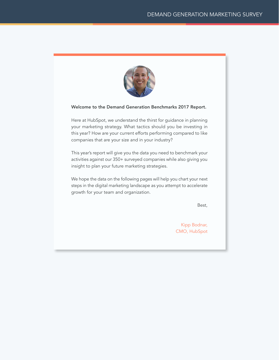

#### <span id="page-2-0"></span>Welcome to the Demand Generation Benchmarks 2017 Report.

Here at HubSpot, we understand the thirst for guidance in planning your marketing strategy. What tactics should you be investing in this year? How are your current efforts performing compared to like companies that are your size and in your industry?

This year's report will give you the data you need to benchmark your activities against our 350+ surveyed companies while also giving you insight to plan your future marketing strategies.

We hope the data on the following pages will help you chart your next steps in the digital marketing landscape as you attempt to accelerate growth for your team and organization.

Best,

Kipp Bodnar, CMO, HubSpot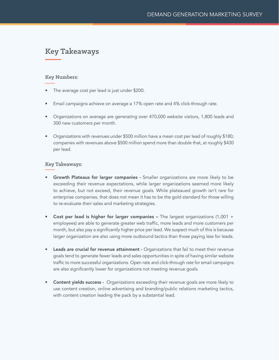## <span id="page-3-0"></span>Key Takeaways

#### Key Numbers:

- The average cost per lead is just under \$200.
- Email campaigns achieve on average a 17% open rate and 4% click-through rate.
- Organizations on average are generating over 470,000 website visitors, 1,800 leads and 300 new customers per month.
- Organizations with revenues under \$500 million have a mean cost per lead of roughly \$180; companies with revenues above \$500 million spend more than double that, at roughly \$430 per lead.

#### Key Takeaways:

- Growth Plateaus for larger companies Smaller organizations are more likely to be exceeding their revenue expectations, while larger organizations seemed more likely to achieve, but not exceed, their revenue goals. While plateaued growth isn't rare for enterprise companies, that does not mean it has to be the gold standard for those willing to re-evaluate their sales and marketing strategies.
- Cost per lead is higher for larger companies The largest organizations (1,001 + employees) are able to generate greater web traffic, more leads and more customers per month, but also pay a significantly higher price per lead. We suspect much of this is because larger organization are also using more outbound tactics than those paying less for leads.
- Leads are crucial for revenue attainment Organizations that fail to meet their revenue goals tend to generate fewer leads and sales opportunities in spite of having similar website traffic to more successful organizations. Open rate and click-through rate for email campaigns are also significantly lower for organizations not meeting revenue goals.
- Content yields success Organizations exceeding their revenue goals are more likely to use content creation, online advertising and branding/public relations marketing tactics, with content creation leading the pack by a substantial lead.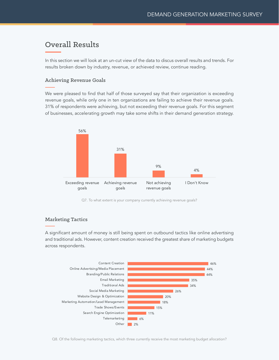## <span id="page-4-0"></span>Overall Results

In this section we will look at an un-cut view of the data to discus overall results and trends. For results broken down by industry, revenue, or achieved review, continue reading.

#### Achieving Revenue Goals

We were pleased to find that half of those surveyed say that their organization is exceeding revenue goals, while only one in ten organizations are failing to achieve their revenue goals. 31% of respondents were achieving, but not exceeding their revenue goals. For this segment of businesses, accelerating growth may take some shifts in their demand generation strategy.



Q7. To what extent is your company currently achieving revenue goals?

#### Marketing Tactics

A significant amount of money is still being spent on outbound tactics like online advertising and traditional ads. However, content creation received the greatest share of marketing budgets across respondents.



Q8. Of the following marketing tactics, which three currently receive the most marketing budget allocation?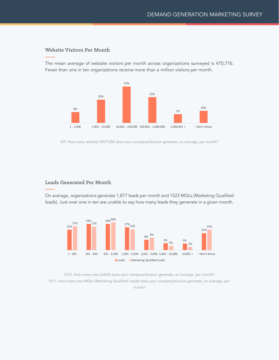#### Website Visitors Per Month

The mean average of website visitors per month across organizations surveyed is 470,776. Fewer than one in ten organizations receive more than a million visitors per month.



Q9. How many website VISITORS does your company/division generate, on average, per month?

#### Leads Generated Per Month

On average, organizations generate 1,877 leads per month and 1523 MQLs (Marketing Qualified leads). Just over one in ten are unable to say how many leads they generate in a given month.



Q10. How many new LEADS does your company/division generate, on average, per month? Q11. How many new MQLs (Marketing Qualified Leads) does your company/division generate, on average, per month?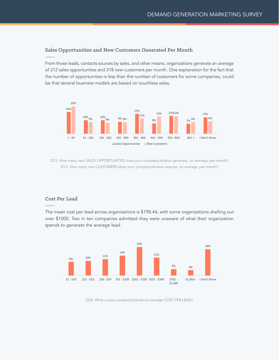#### Sales Opportunities and New Customers Generated Per Month

From those leads, contacts sources by sales, and other means, organizations generate an average of 312 sales opportunities and 318 new customers per month. One explanation for the fact that the number of opportunities is less than the number of customers for some companies, could be that several business models are based on touchless sales.



Q12. How many new SALES OPPORTUNITIES does your company/division generate, on average, per month? Q13. How many new CUSTOMERS does your company/division acquire, on average, per month?

#### Cost Per Lead

The mean cost per lead across organizations is \$198.44, with some organizations shelling out over \$1000. Two in ten companies admitted they were unaware of what their organization spends to generate the average lead.



Q20. What is your company's/division's average COST PER LEAD?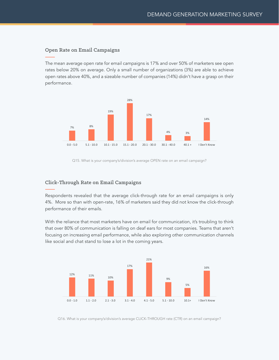#### Open Rate on Email Campaigns

The mean average open rate for email campaigns is 17% and over 50% of marketers see open rates below 20% on average. Only a small number of organizations (3%) are able to achieve open rates above 40%, and a sizeable number of companies (14%) didn't have a grasp on their performance.



Q15. What is your company's/division's average OPEN rate on an email campaign?

#### Click-Through Rate on Email Campaigns

Respondents revealed that the average click-through rate for an email campaigns is only 4%. More so than with open-rate, 16% of marketers said they did not know the click-through performance of their emails.

With the reliance that most marketers have on email for communication, it's troubling to think that over 80% of communication is falling on deaf ears for most companies. Teams that aren't focusing on increasing email performance, while also exploring other communication channels like social and chat stand to lose a lot in the coming years.



Q16. What is your company's/division's average CLICK-THROUGH rate (CTR) on an email campaign?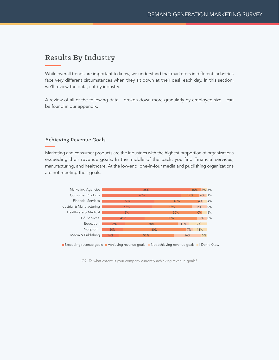## <span id="page-8-0"></span>Results By Industry

While overall trends are important to know, we understand that marketers in different industries face very different circumstances when they sit down at their desk each day. In this section, we'll review the data, cut by industry.

A review of all of the following data – broken down more granularly by employee size – can be found in our appendix.

#### Achieving Revenue Goals

Marketing and consumer products are the industries with the highest proportion of organizations exceeding their revenue goals. In the middle of the pack, you find Financial services, manufacturing, and healthcare. At the low-end, one-in-four media and publishing organizations are not meeting their goals.



Q7. To what extent is your company currently achieving revenue goals?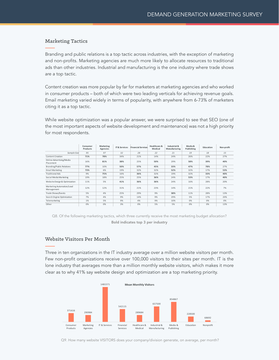#### Marketing Tactics

Branding and public relations is a top tactic across industries, with the exception of marketing and non-profits. Marketing agencies are much more likely to allocate resources to traditional ads than other industries. Industrial and manufacturing is the one industry where trade shows are a top tactic.

Content creation was more popular by far for marketers at marketing agencies and who worked in consumer products – both of which were two leading verticals for achieving revenue goals. Email marketing varied widely in terms of popularity, with anywhere from 6-73% of marketers citing it as a top tactic.

While website optimization was a popular answer, we were surprised to see that SEO (one of the most important aspects of website development and maintenance) was not a high priority for most respondents.

|                                         | Consumer<br>Products | Marketing<br>Agencies | <b>IT &amp; Services</b> | <b>Financial Services</b> | Healthcare &<br>Medical | Industrial &<br>Manufacturing | Media &<br>Publishing | Education | Non-profit |
|-----------------------------------------|----------------------|-----------------------|--------------------------|---------------------------|-------------------------|-------------------------------|-----------------------|-----------|------------|
| Sample Size                             | 95                   | 97                    | 32                       | 28                        | 22                      | 21                            | 19                    | 18        | 15         |
| <b>Content Creation</b>                 | 71%                  | 78%                   | 34%                      | 21%                       | 14%                     | 24%                           | 26%                   | 22%       | 27%        |
| Online Advertising/Media<br>Placement   | 16%                  | 81%                   | 38%                      | 25%                       | 50%                     | 29%                           | 58%                   | 39%       | 40%        |
| Branding/Public Relations               | 77%                  | 10%                   | 50%                      | 57%                       | 45%                     | 33%                           | 47%                   | 78%       | 27%        |
| Email Marketing                         | 73%                  | 6%                    | 19%                      | 32%                       | 32%                     | 52%                           | 32%                   | 17%       | 53%        |
| <b>Traditional Ads</b>                  | 9%                   | 75%                   | 16%                      | 36%                       | 32%                     | 19%                           | 32%                   | 33%       | 40%        |
| Social Media Marketing                  | 19%                  | 18%                   | 25%                      | 25%                       | 36%                     | 24%                           | 53%                   | 17%       | 40%        |
| Website Design & Optimization           | 11%                  | 5%                    | 41%                      | 36%                       | 36%                     | 24%                           | 16%                   | 28%       | 20%        |
| Marketing Automation/Lead<br>Management | 12%                  | 12%                   | 31%                      | 21%                       | 23%                     | 14%                           | 21%                   | 22%       | 7%         |
| Trade Shows/Events                      | 5%                   | 4%                    | 25%                      | 29%                       | 9%                      | 38%                           | 11%                   | 28%       | 13%        |
| Search Engine Optimization              | 7%                   | 4%                    | 9%                       | 14%                       | 9%                      | 29%                           | 5%                    | 17%       | 20%        |
| Telemarketing                           | 1%                   | 5%                    | 9%                       | 4%                        | 9%                      | 10%                           | 0%                    | 0%        | 0%         |
| Other                                   | 0%                   | 0%                    | 3%                       | 0%                        | 5%                      | 5%                            | 0%                    | 0%        | 13%        |

Q8. Of the following marketing tactics, which three currently receive the most marketing budget allocation? Bold indicates top 3 per industry

#### Website Visitors Per Month

Three in ten organizations in the IT industry average over a million website visitors per month. Few non-profit organizations receive over 100,000 visitors to their sites per month. IT is the lone industry that averages more than a million monthly website visitors, which makes it more clear as to why 41% say website design and optimization are a top marketing priority.



Q9. How many website VISITORS does your company/division generate, on average, per month?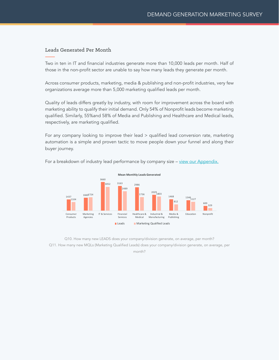#### Leads Generated Per Month

Two in ten in IT and financial industries generate more than 10,000 leads per month. Half of those in the non-profit sector are unable to say how many leads they generate per month.

Across consumer products, marketing, media & publishing and non-profit industries, very few organizations average more than 5,000 marketing qualified leads per month.

Quality of leads differs greatly by industry, with room for improvement across the board with marketing ability to qualify their initial demand. Only 54% of Nonprofit leads become marketing qualified. Similarly, 55%and 58% of Media and Publishing and Healthcare and Medical leads, respectively, are marketing qualified.

For any company looking to improve their lead > qualified lead conversion rate, marketing automation is a simple and proven tactic to move people down your funnel and along their buyer journey.



For a breakdown of industry lead performance by company size – [view our Appendix.](#page-27-0)

Q10. How many new LEADS does your company/division generate, on average, per month? Q11. How many new MQLs (Marketing Qualified Leads) does your company/division generate, on average, per month?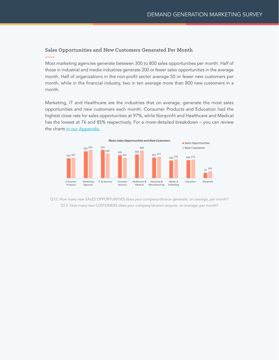#### Sales Opportunities and New Customers Generated Per Month

Most marketing agencies generate between 300 to 800 sales opportunities per month. Half of those in industrial and media industries generate 200 or fewer sales opportunities in the average month. Half of organizations in the non-profit sector average 50 or fewer new customers per month, while in the financial industry, two in ten average more than 800 new customers in a month.

Marketing, IT and Healthcare are the industries that on average, generate the most sales opportunities and new customers each month. Consumer Products and Education had the highest close rate for sales opportunities at 97%, while Nonprofit and Healthcare and Medical has the lowest at 76 and 85% respectively. For a more detailed breakdown – you can review the charts [in our Appendix.](#page-27-0)



Q12. How many new SALES OPPORTUNITIES does your company/division generate, on average, per month? Q13. How many new CUSTOMERS does your company/division acquire, on average, per month?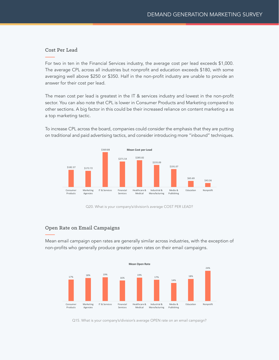#### Cost Per Lead

For two in ten in the Financial Services industry, the average cost per lead exceeds \$1,000. The average CPL across all industries but nonprofit and education exceeds \$180, with some averaging well above \$250 or \$350. Half in the non-profit industry are unable to provide an answer for their cost per lead.

The mean cost per lead is greatest in the IT & services industry and lowest in the non-profit sector. You can also note that CPL is lower in Consumer Products and Marketing compared to other sections. A big factor in this could be their increased reliance on content marketing a as a top marketing tactic.



To increase CPL across the board, companies could consider the emphasis that they are putting on traditional and paid advertising tactics, and consider introducing more "inbound" techniques.

Q20. What is your company's/division's average COST PER LEAD?

#### Open Rate on Email Campaigns

Mean email campaign open rates are generally similar across industries, with the exception of non-profits who generally produce greater open rates on their email campaigns.



Q15. What is your company's/division's average OPEN rate on an email campaign?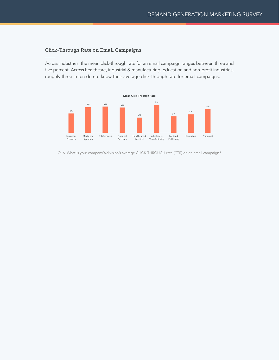#### Click-Through Rate on Email Campaigns

Across industries, the mean click-through rate for an email campaign ranges between three and five percent. Across healthcare, industrial & manufacturing, education and non-profit industries, roughly three in ten do not know their average click-through rate for email campaigns.



Q16. What is your company's/division's average CLICK-THROUGH rate (CTR) on an email campaign?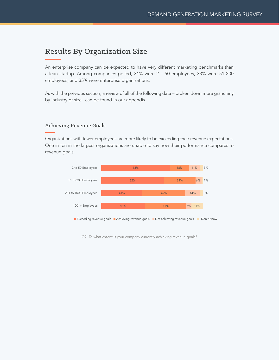## <span id="page-14-0"></span>Results By Organization Size

An enterprise company can be expected to have very different marketing benchmarks than a lean startup. Among companies polled, 31% were 2 – 50 employees, 33% were 51-200 employees, and 35% were enterprise organizations.

As with the previous section, a review of all of the following data – broken down more granularly by industry or size– can be found in our appendix.

#### Achieving Revenue Goals

Organizations with fewer employees are more likely to be exceeding their revenue expectations. One in ten in the largest organizations are unable to say how their performance compares to revenue goals.



Q7. To what extent is your company currently achieving revenue goals?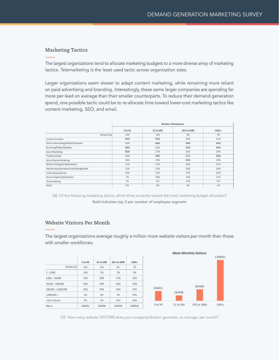#### Marketing Tactics

The largest organizations tend to allocate marketing budgets to a more diverse array of marketing tactics. Telemarketing is the least used tactic across organization sizes.

Larger organizations seem slower to adapt content marketing, while remaining more reliant on paid advertising and branding. Interestingly, these same larger companies are spending far more per lead on average than their smaller counterparts. To reduce their demand generation spend, one possible tactic could be to re-allocate time toward lower-cost marketing tactics like content marketing, SEO, and email.

|                                      |         | <b>Number of Employees</b> |             |         |  |  |
|--------------------------------------|---------|----------------------------|-------------|---------|--|--|
|                                      | 2 to 50 | 51 to 200                  | 201 to 1000 | $1001+$ |  |  |
| Sample Size                          | 130     | 136                        | 69          | 79      |  |  |
| Content Creation                     | 63%     | 52%                        | 22%         | 27%     |  |  |
| Online Advertising/Media Placement   | 24%     | 68%                        | 36%         | 44%     |  |  |
| Branding/Public Relations            | 58%     | 22%                        | 51%         | 49%     |  |  |
| Email Marketing                      | 62%     | 17%                        | 32%         | 25%     |  |  |
| Traditional Ads                      | 16%     | 59%                        | 25%         | 32%     |  |  |
| Social Media Marketing               | 26%     | 18%                        | 41%         | 24%     |  |  |
| Website Design & Optimization        | 11%     | 17%                        | 35%         | 27%     |  |  |
| Marketing Automation/Lead Management | 13%     | 15%                        | 20%         | 29%     |  |  |
| Trade Shows/Events                   | 13%     | 15%                        | 12%         | 22%     |  |  |
| Search Engine Optimization           | 7%      | 10%                        | 13%         | 15%     |  |  |
| Telemarketing                        | 5%      | 3%                         | 12%         | 5%      |  |  |
| Other                                | 2%      | 4%                         | 3%          | 1%      |  |  |

Q8. Of the following marketing tactics, which three currently receive the most marketing budget allocation? Bold indicates top 3 per number of employee segment

#### Website Visitors Per Month

The largest organizations average roughly a million more website visitors per month than those with smaller workforces.



Q9. How many website VISITORS does your company/division generate, on average, per month?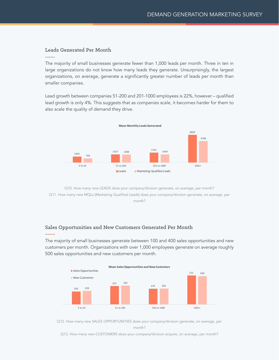#### Leads Generated Per Month

The majority of small businesses generate fewer than 1,000 leads per month. Three in ten in large organizations do not know how many leads they generate. Unsurprisingly, the largest organizations, on average, generate a significantly greater number of leads per month than smaller companies.

Lead growth between companies 51-200 and 201-1000 employees is 22%, however – qualified lead growth is only 4%. This suggests that as companies scale, it becomes harder for them to also scale the quality of demand they drive.



Q10. How many new LEADS does your company/division generate, on average, per month? Q11. How many new MQLs (Marketing Qualified Leads) does your company/division generate, on average, per month?

#### Sales Opportunities and New Customers Generated Per Month

The majority of small businesses generate between 100 and 400 sales opportunities and new customers per month. Organizations with over 1,000 employees generate on average roughly 500 sales opportunities and new customers per month.



Q12. How many new SALES OPPORTUNITIES does your company/division generate, on average, per

Q13. How many new CUSTOMERS does your company/division acquire, on average, per month?

month?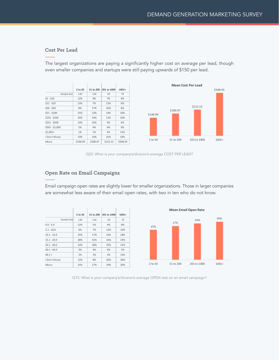#### Cost Per Lead

The largest organizations are paying a significantly higher cost on average per lead, though even smaller companies and startups were still paying upwards of \$150 per lead.

|                 | 2 to 50  | 51 to 200 | 201 to 1000 | $1001+$  |
|-----------------|----------|-----------|-------------|----------|
| Sample Size     | 130      | 136       | 69          | 79       |
| $$1 - $10$      | 12%      | 9%        | 7%          | 6%       |
| $$11 - $25$     | 13%      | 7%        | 12%         | 6%       |
| $$26 - $50$     | 8%       | 17%       | 10%         | 8%       |
| $$51 - $100$    | 15%      | 13%       | 14%         | 10%      |
| $$101 - $250$   | 24%      | 24%       | 13%         | 10%      |
| $$251 - $500$   | 13%      | 16%       | 9%          | 6%       |
| $$501 - $1,000$ | 2%       | 4%        | 6%          | 9%       |
| $$1,001+$       | 1%       | 1%        | 4%          | 11%      |
| I Don't Know    | 13%      | 10%       | 25%         | 33%      |
| Mean            | \$146.94 | \$180.47  | \$212.12    | \$348.93 |



Q20. What is your company's/division's average COST PER LEAD?

#### Open Rate on Email Campaigns

Email campaign open rates are slightly lower for smaller organizations. Those in larger companies are somewhat less aware of their email open rates, with two in ten who do not know.

|               | 2 to 50 | 51 to 200 | 201 to 1000 | $1001+$ |
|---------------|---------|-----------|-------------|---------|
| Sample Size   | 130     | 136       | 69          | 79      |
| $0.0 - 5.0$   | 12%     | 5%        | 4%          | 8%      |
| $5.1 - 10.0$  | 6%      | 7%        | 12%         | 10%     |
| $10.1 - 15.0$ | 25%     | 17%       | 14%         | 18%     |
| $15.1 - 20.0$ | 28%     | 41%       | 16%         | 14%     |
| $20.1 - 30.0$ | 14%     | 18%       | 25%         | 13%     |
| $30.1 - 40.0$ | 3%      | 4%        | 6%          | 5%      |
| $40.1 +$      | 1%      | 1%        | 3%          | 13%     |
| I Don't Know  | 12%     | 8%        | 20%         | 20%     |
| Mean          | 15%     | 17%       | 19%         | 20%     |



Q15. What is your company's/division's average OPEN rate on an email campaign?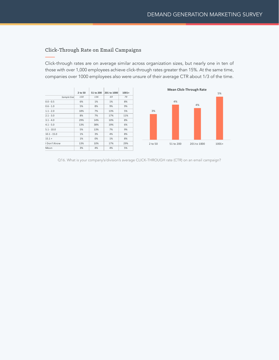#### Click-Through Rate on Email Campaigns

Click-through rates are on average similar across organization sizes, but nearly one in ten of those with over 1,000 employees achieve click-through rates greater than 15%. At the same time, companies over 1000 employees also were unsure of their average CTR about 1/3 of the time.



Q16. What is your company's/division's average CLICK-THROUGH rate (CTR) on an email campaign?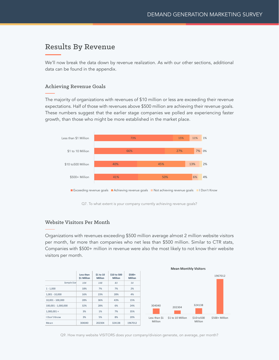### <span id="page-19-0"></span>Results By Revenue

We'll now break the data down by revenue realization. As with our other sections, additional data can be found in the appendix.

#### Achieving Revenue Goals

The majority of organizations with revenues of \$10 million or less are exceeding their revenue expectations. Half of those with revenues above \$500 million are achieving their revenue goals. These numbers suggest that the earlier stage companies we polled are experiencing faster growth, than those who might be more established in the market place.



Q7. To what extent is your company currently achieving revenue goals?

#### Website Visitors Per Month

Organizations with revenues exceeding \$500 million average almost 2 million website visitors per month, far more than companies who net less than \$500 million. Similar to CTR stats, Companies with \$500+ million in revenue were also the most likely to not know their website visitors per month.

|                     | Less than<br>\$1 Million | \$1 to 10<br><b>Million</b> | \$10 to 500<br><b>Million</b> | $$500+$<br><b>Million</b> |
|---------------------|--------------------------|-----------------------------|-------------------------------|---------------------------|
| Sample Size         | 104                      | 148                         | 83                            | 54                        |
| $1 - 1,000$         | 18%                      | 7%                          | 7%                            | 2%                        |
| $1,001 - 10,000$    | 16%                      | 23%                         | 28%                           | 4%                        |
| $10,001 - 100,000$  | 28%                      | 36%                         | 43%                           | 15%                       |
| 100,001 - 1,000,000 | 32%                      | 28%                         | 6%                            | 24%                       |
| $1,000,001 +$       | 3%                       | 1%                          | 7%                            | 35%                       |
| I Don't Know        | 3%                       | 5%                          | 8%                            | 20%                       |
| Mean                | 304040                   | 202304                      | 324138                        | 1967012                   |





Q9. How many website VISITORS does your company/division generate, on average, per month?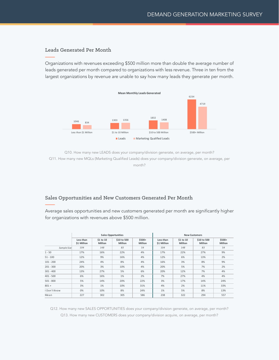#### Leads Generated Per Month

Organizations with revenues exceeding \$500 million more than double the average number of leads generated per month compared to organizations with less revenue. Three in ten from the largest organizations by revenue are unable to say how many leads they generate per month.



Q10. How many new LEADS does your company/division generate, on average, per month? Q11. How many new MQLs (Marketing Qualified Leads) does your company/division generate, on average, per month?

#### Sales Opportunities and New Customers Generated Per Month

Average sales opportunities and new customers generated per month are significantly higher for organizations with revenues above \$500 million.

|              |                          |                                | <b>Sales Opportunities</b>    |                           | <b>New Customers</b>     |                             |                               |                           |
|--------------|--------------------------|--------------------------------|-------------------------------|---------------------------|--------------------------|-----------------------------|-------------------------------|---------------------------|
|              | Less than<br>\$1 Million | $$1$ to $10$<br><b>Million</b> | \$10 to 500<br><b>Million</b> | $$500+$<br><b>Million</b> | Less than<br>\$1 Million | \$1 to 10<br><b>Million</b> | \$10 to 500<br><b>Million</b> | $$500+$<br><b>Million</b> |
| Sample Size  | 104                      | 148                            | 83                            | 54                        | 104                      | 148                         | 83                            | 54                        |
| $1 - 50$     | 17%                      | 16%                            | 22%                           | 4%                        | 17%                      | 22%                         | 27%                           | 9%                        |
| $51 - 100$   | 12%                      | 9%                             | 16%                           | 4%                        | 12%                      | 6%                          | 13%                           | 2%                        |
| $101 - 200$  | 24%                      | 4%                             | 8%                            | 4%                        | 16%                      | 3%                          | 8%                            | 9%                        |
| $201 - 300$  | 20%                      | 3%                             | 10%                           | 4%                        | 20%                      | 5%                          | 7%                            | 2%                        |
| $301 - 400$  | 13%                      | 27%                            | 5%                            | 6%                        | 20%                      | 12%                         | 7%                            | 4%                        |
| $401 - 500$  | 6%                       | 16%                            | 1%                            | 2%                        | 7%                       | 27%                         | 4%                            | 4%                        |
| $501 - 800$  | 5%                       | 14%                            | 20%                           | 22%                       | 3%                       | 17%                         | 14%                           | 24%                       |
| $801 +$      | 3%                       | 1%                             | 10%                           | 31%                       | 4%                       | 2%                          | 11%                           | 33%                       |
| I Don't Know | 0%                       | 10%                            | 8%                            | 24%                       | 1%                       | 5%                          | 8%                            | 13%                       |
| Mean         | 227                      | 302                            | 305                           | 586                       | 238                      | 322                         | 294                           | 557                       |

Q12. How many new SALES OPPORTUNITIES does your company/division generate, on average, per month? Q13. How many new CUSTOMERS does your company/division acquire, on average, per month?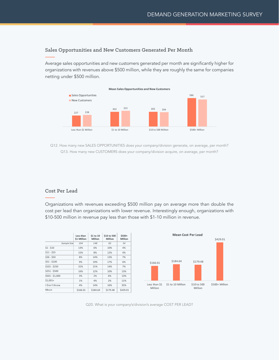#### Sales Opportunities and New Customers Generated Per Month

Average sales opportunities and new customers generated per month are significantly higher for organizations with revenues above \$500 million, while they are roughly the same for companies netting under \$500 million.



Q12. How many new SALES OPPORTUNITIES does your company/division generate, on average, per month? Q13. How many new CUSTOMERS does your company/division acquire, on average, per month?

#### Cost Per Lead

Organizations with revenues exceeding \$500 million pay on average more than double the cost per lead than organizations with lower revenue. Interestingly enough, organizations with \$10-500 million in revenue pay less than those with \$1-10 million in revenue.

|                 | Less than   | \$1 to 10      | \$10 to 500 | $$500+$        | <b>Mean Cost Per Lead</b>                         |                |  |  |
|-----------------|-------------|----------------|-------------|----------------|---------------------------------------------------|----------------|--|--|
|                 | \$1 Million | <b>Million</b> | Million     | <b>Million</b> |                                                   | \$429.01       |  |  |
| Sample Size     | 104         | 148            | 83          | 54             |                                                   |                |  |  |
| $$1 - $10$      | 13%         | 6%             | 10%         | 4%             |                                                   |                |  |  |
| $$11 - $25$     | 15%         | 8%             | 12%         | 4%             |                                                   |                |  |  |
| $$26 - $50$     | 8%          | 14%            | 13%         | 7%             |                                                   |                |  |  |
| $$51 - $100$    | 9%          | 19%            | 17%         | 6%             | \$184.64<br>\$179.48<br>\$166.01                  |                |  |  |
| $$101 - $250$   | 31%         | 21%            | 14%         | 7%             |                                                   |                |  |  |
| $$251 - $500$   | 16%         | 12%            | 10%         | 13%            |                                                   |                |  |  |
| $$501 - $1,000$ | 3%          | 2%             | 6%          | 13%            |                                                   |                |  |  |
| $$1,001+$       | 1%          | 4%             | 2%          | 11%            |                                                   |                |  |  |
| I Don't Know    | 4%          | 14%            | 16%         | 35%            | \$1 to 10 Million<br>\$10 to 500<br>Less than \$1 | \$500+ Million |  |  |
| Mean            | \$166.01    | \$184.64       | \$179.48    | \$429.01       | Million<br>Million                                |                |  |  |

Q20. What is your company's/division's average COST PER LEAD?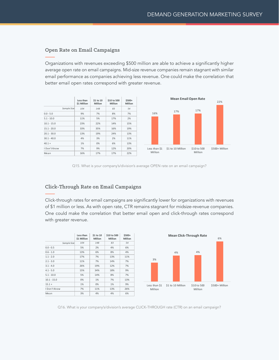#### Open Rate on Email Campaigns

Organizations with revenues exceeding \$500 million are able to achieve a significantly higher average open rate on email campaigns. Mid-size revenue companies remain stagnant with similar email performance as companies achieving less revenue. One could make the correlation that better email open rates correspond with greater revenue.



Q15. What is your company's/division's average OPEN rate on an email campaign?

#### Click-Through Rate on Email Campaigns

Click-through rates for email campaigns are significantly lower for organizations with revenues of \$1 million or less. As with open rate, CTR remains stagnant for midsize-revenue companies. One could make the correlation that better email open and click-through rates correspond with greater revenue.

|               | Less than<br>\$1 Million | \$1 to 10<br><b>Million</b> | \$10 to 500<br><b>Million</b> | $$500+$<br><b>Million</b> | M                     |
|---------------|--------------------------|-----------------------------|-------------------------------|---------------------------|-----------------------|
| Sample Size   | 104                      | 148                         | 83                            | 54                        |                       |
| $0.0 - 0.5$   | 5%                       | 2%                          | 4%                            | 6%                        |                       |
| $0.6 - 1.0$   | 13%                      | 6%                          | 8%                            | 4%                        |                       |
| $1.1 - 2.0$   | 17%                      | 7%                          | 13%                           | 11%                       |                       |
| $2.1 - 3.0$   | 11%                      | 7%                          | 14%                           | 7%                        | 3%                    |
| $3.1 - 4.0$   | 26%                      | 19%                         | 12%                           | 7%                        |                       |
| $4.1 - 5.0$   | 15%                      | 34%                         | 18%                           | 9%                        |                       |
| $5.1 - 10.0$  | 5%                       | 14%                         | 8%                            | 7%                        |                       |
| $10.1 - 15.0$ | 0%                       | 1%                          | 7%                            | 13%                       |                       |
| $15.1 +$      | 1%                       | 0%                          | 1%                            | 9%                        | \$1t<br>Less than \$1 |
| I Don't Know  | 7%                       | 11%                         | 13%                           | 26%                       | Million               |
| Mean          | 3%                       | 4%                          | 4%                            | 6%                        |                       |



Q16. What is your company's/division's average CLICK-THROUGH rate (CTR) on an email campaign?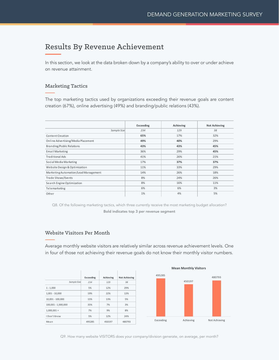## <span id="page-23-0"></span>Results By Revenue Achievement

In this section, we look at the data broken down by a company's ability to over or under achieve on revenue attainment.

#### Marketing Tactics

The top marketing tactics used by organizations exceeding their revenue goals are content creation (67%), online advertising (49%) and branding/public relations (43%).

|                                      | Exceeding | Achieving | <b>Not Achieving</b> |
|--------------------------------------|-----------|-----------|----------------------|
| Sample Size                          | 234       | 129       | 38                   |
| Content Creation                     | 65%       | 17%       | 32%                  |
| Online Advertising/Media Placement   | 49%       | 40%       | 29%                  |
| Branding/Public Relations            | 43%       | 43%       | 45%                  |
| Email Marketing                      | 36%       | 29%       | 45%                  |
| Traditional Ads                      | 41%       | 26%       | 21%                  |
| Social Media Marketing               | 17%       | 37%       | 37%                  |
| Website Design & Optimization        | 11%       | 33%       | 29%                  |
| Marketing Automation/Lead Management | 14%       | 26%       | 18%                  |
| Trade Shows/Events                   | 8%        | 24%       | 26%                  |
| Search Engine Optimization           | 8%        | 16%       | 11%                  |
| Telemarketing                        | 6%        | 6%        | 3%                   |
| Other                                | 1%        | 4%        | 5%                   |

Q8. Of the following marketing tactics, which three currently receive the most marketing budget allocation? Bold indicates top 3 per revenue segment

#### Website Visitors Per Month

Average monthly website visitors are relatively similar across revenue achievement levels. One in four of those not achieving their revenue goals do not know their monthly visitor numbers.

|                     | Exceeding | Achieving | <b>Not Achieving</b> |
|---------------------|-----------|-----------|----------------------|
| Sample Size         | 234       | 129       | 38                   |
| $1 - 1.000$         | 5%        | 12%       | 29%                  |
| $1,001 - 10,000$    | 19%       | 22%       | 13%                  |
| 10,001 - 100,000    | 15%       | 13%       | 5%                   |
| 100,001 - 1,000,000 | 35%       | 7%        | 3%                   |
| $1,000,001 +$       | 7%        | 9%        | 8%                   |
| I Don't Know        | 5%        | 12%       | 24%                  |
| Mean                | 495285    | 450197    | 480793               |

**Mean Monthly Visitors**



Q9. How many website VISITORS does your company/division generate, on average, per month?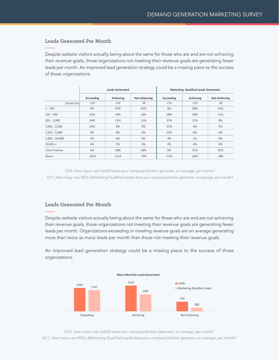#### Leads Generated Per Month

Despite website visitors actually being about the same for those who are and are not achieving their revenue goals, those organizations not meeting their revenue goals are generating fewer leads per month. An improved lead generation strategy could be a missing piece to the success of those organizations.

|                  |           | <b>Leads Generated</b> |                      |           | <b>Marketing Qualified Leads Generated</b> |                      |
|------------------|-----------|------------------------|----------------------|-----------|--------------------------------------------|----------------------|
|                  | Exceeding | Achieving              | <b>Not Achieving</b> | Exceeding | Achieving                                  | <b>Not Achieving</b> |
| Sample Size      | 234       | 129                    | 38                   | 234       | 129                                        | 38                   |
| $1 - 100$        | 6%        | 25%                    | 42%                  | 8%        | 28%                                        | 45%                  |
| $101 - 500$      | 22%       | 16%                    | 16%                  | 18%       | 18%                                        | 11%                  |
| $501 - 1,000$    | 24%       | 12%                    | 11%                  | 27%       | 12%                                        | 8%                   |
| $1,001 - 2,500$  | 24%       | 8%                     | 8%                   | 21%       | 9%                                         | 5%                   |
| $2,501 - 5,000$  | 9%        | 8%                     | 3%                   | 12%       | 6%                                         | 0%                   |
| $5,001 - 10,000$ | 5%        | 6%                     | 0%                   | 4%        | 2%                                         | 0%                   |
| $10,001 +$       | 4%        | 7%                     | 3%                   | 2%        | 4%                                         | 0%                   |
| I Don't Know     | 6%        | 18%                    | 18%                  | 6%        | 21%                                        | 32%                  |
| Mean             | 1919      | 2122                   | 794                  | 1741      | 1397                                       | 300                  |

Q10. How many new LEADS does your company/division generate, on average, per month? Q11. How many new MQLs (Marketing Qualified Leads) does your company/division generate, on average, per month?

#### Leads Generated Per Month

Despite website visitors actually being about the same for those who are and are not achieving their revenue goals, those organizations not meeting their revenue goals are generating fewer leads per month. Organizations exceeding or meeting revenue goals are on average generating more than twice as many leads per month than those not meeting their revenue goals.

An improved lead generation strategy could be a missing piece to the success of those organizations.



Q10. How many new LEADS does your company/division generate, on average, per month? Q11. How many new MQLs (Marketing Qualified Leads) does your company/division generate, on average, per month?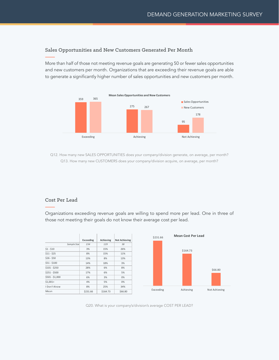#### Sales Opportunities and New Customers Generated Per Month

More than half of those not meeting revenue goals are generating 50 or fewer sales opportunities and new customers per month. Organizations that are exceeding their revenue goals are able to generate a significantly higher number of sales opportunities and new customers per month.



Q12. How many new SALES OPPORTUNITIES does your company/division generate, on average, per month? Q13. How many new CUSTOMERS does your company/division acquire, on average, per month?

#### Cost Per Lead

Organizations exceeding revenue goals are willing to spend more per lead. One in three of those not meeting their goals do not know their average cost per lead.



Q20. What is your company's/division's average COST PER LEAD?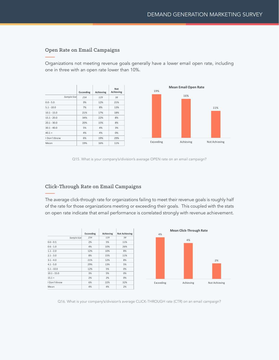#### Open Rate on Email Campaigns

Organizations not meeting revenue goals generally have a lower email open rate, including one in three with an open rate lower than 10%.



Q15. What is your company's/division's average OPEN rate on an email campaign?

#### Click-Through Rate on Email Campaigns

The average click-through rate for organizations failing to meet their revenue goals is roughly half of the rate for those organizations meeting or exceeding their goals. This coupled with the stats on open rate indicate that email performance is correlated strongly with revenue achievement.

|               | Exceeding | Achieving | <b>Not Achieving</b> |
|---------------|-----------|-----------|----------------------|
| Sample Size   | 234       | 129       | 38                   |
| $0.0 - 0.5$   | 2%        | 5%        | 11%                  |
| $0.6 - 1.0$   | 4%        | 10%       | 26%                  |
| $1.1 - 2.0$   | 12%       | 10%       | 8%                   |
| $2.1 - 3.0$   | 8%        | 15%       | 11%                  |
| $3.1 - 4.0$   | 21%       | 12%       | 8%                   |
| $4.1 - 5.0$   | 29%       | 13%       | 5%                   |
| $5.1 - 10.0$  | 12%       | 5%        | 0%                   |
| $10.1 - 15.0$ | 3%        | 5%        | 0%                   |
| $15.1 +$      | 2%        | 2%        | 0%                   |
| I Don't Know  | 6%        | 22%       | 32%                  |
| Mean          | 4%        | 4%        | 2%                   |



Q16. What is your company's/division's average CLICK-THROUGH rate (CTR) on an email campaign?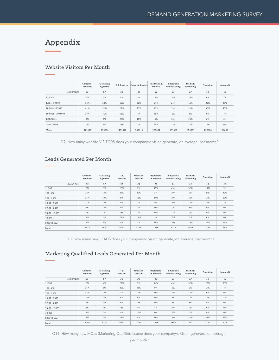## <span id="page-27-0"></span>Appendix

#### Website Visitors Per Month

|                     | Consumer<br>Products | Marketing<br>Agencies | <b>IT &amp; Services</b> | <b>Financial Services</b> | Healthcare &<br>Medical | Industrial &<br>Manufacturing | Media &<br>Publishing | Education | Non-profit |
|---------------------|----------------------|-----------------------|--------------------------|---------------------------|-------------------------|-------------------------------|-----------------------|-----------|------------|
| Sample Size         | 95                   | 97                    | 32                       | 28                        | 22                      | 21                            | 19                    | 18        | 15         |
| $1 - 1,000$         | 4%                   | 2%                    | 9%                       | 4%                        | 9%                      | 24%                           | 16%                   | 6%        | 7%         |
| $1.001 - 10.000$    | 14%                  | 20%                   | 16%                      | 32%                       | 27%                     | 24%                           | 16%                   | 22%       | 33%        |
| 10.001 - 100.000    | 41%                  | 31%                   | 22%                      | 43%                       | 27%                     | 19%                           | 21%                   | 50%       | 40%        |
| 100,001 - 1,000,000 | 37%                  | 41%                   | 13%                      | 4%                        | 18%                     | 5%                            | 5%                    | 0%        | 7%         |
| $1,000,001 +$       | 4%                   | 1%                    | 28%                      | 11%                       | 5%                      | 14%                           | 21%                   | 6%        | 0%         |
| I Don't Know        | 0%                   | 5%                    | 13%                      | 7%                        | 14%                     | 14%                           | 21%                   | 17%       | 13%        |
| Mean                | 371616               | 290984                | 1481571                  | 542115                    | 289684                  | 657500                        | 854867                | 228500    | 68692      |

Q9. How many website VISITORS does your company/division generate, on average, per month?

|                  |             | Consumer<br>Products | Marketing<br>Agencies | IT&<br>Services | Financial<br><b>Services</b> | Healthcare<br>& Medical | Industrial &<br>Manufacturing | Media &<br>Publishing | Education | Non-profit |
|------------------|-------------|----------------------|-----------------------|-----------------|------------------------------|-------------------------|-------------------------------|-----------------------|-----------|------------|
|                  | Sample Size | 95                   | 97                    | 32              | 28                           | 22                      | 21                            | 19                    | 18        | 15         |
| $1 - 100$        |             | 5%                   | 5%                    | 16%             | 7%                           | 18%                     | 43%                           | 32%                   | 17%       | 7%         |
| $101 - 500$      |             | 28%                  | 16%                   | 25%             | 29%                          | 5%                      | 10%                           | 0%                    | 22%       | 20%        |
| $501 - 1,000$    |             | 35%                  | 19%                   | 9%              | 18%                          | 14%                     | 10%                           | 21%                   | 17%       | 13%        |
| $1,001 - 2,500$  |             | 17%                  | 36%                   | 0%              | 7%                           | 9%                      | 10%                           | 11%                   | 17%       | 7%         |
| $2,501 - 5,000$  |             | 6%                   | 15%                   | 9%              | 7%                           | 18%                     | 0%                            | 5%                    | 0%        | 0%         |
| $5,001 - 10,000$ |             | 4%                   | 2%                    | 13%             | 7%                           | 14%                     | 14%                           | 0%                    | 0%        | 0%         |
| $10,001+$        |             | 2%                   | 0%                    | 19%             | 18%                          | 5%                      | 5%                            | 5%                    | 6%        | 0%         |
| I Don't Know     |             | 2%                   | 6%                    | 9%              | 7%                           | 18%                     | 10%                           | 26%                   | 22%       | 53%        |
| Mean             |             | 1437                 | 1660                  | 3660            | 3163                         | 2986                    | 2029                          | 1468                  | 1346      | 600        |

#### Leads Generated Per Month

Q10. How many new LEADS does your company/division generate, on average, per month?

#### Marketing Qualified Leads Generated Per Month

|                  | Consumer<br>Products | Marketing<br>Agencies | IT&<br>Services | Financial<br>Services | Healthcare<br>& Medical | Industrial &<br>Manufacturing | Media &<br>Publishing | Education | Non-profit |
|------------------|----------------------|-----------------------|-----------------|-----------------------|-------------------------|-------------------------------|-----------------------|-----------|------------|
| Sample Size      | 95                   | 97                    | 32              | 28                    | 22                      | 21                            | 19                    | 18        | 15         |
| $1 - 100$        | 6%                   | 4%                    | 22%             | 7%                    | 14%                     | 43%                           | 32%                   | 28%       | 33%        |
| $101 - 500$      | 35%                  | 5%                    | 22%             | 43%                   | 9%                      | 5%                            | 0%                    | 17%       | 7%         |
| $501 - 1,000$    | 32%                  | 33%                   | 3%              | 14%                   | 18%                     | 19%                           | 21%                   | 6%        | 0%         |
| $1,001 - 2,500$  | 16%                  | 30%                   | 6%              | 4%                    | 23%                     | 5%                            | 11%                   | 17%       | 7%         |
| $2,501 - 5,000$  | 7%                   | 20%                   | 9%              | 11%                   | 14%                     | 5%                            | 5%                    | 0%        | 0%         |
| $5,001 - 10,000$ | 1%                   | 1%                    | 16%             | 4%                    | 5%                      | 10%                           | 0%                    | 6%        | 0%         |
| $10,001+$        | 1%                   | 0%                    | 9%              | 14%                   | 0%                      | 5%                            | 0%                    | 0%        | 0%         |
| I Don't Know     | 2%                   | 7%                    | 13%             | 4%                    | 18%                     | 10%                           | 32%                   | 28%       | 53%        |
| Mean             | 1104                 | 1724                  | 3052            | 2489                  | 1736                    | 1803                          | 812                   | 1127      | 329        |

Q11. How many new MQLs (Marketing Qualified Leads) does your company/division generate, on average,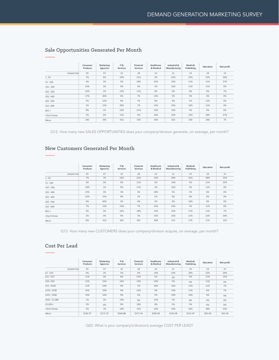|              | Consumer<br>Products | Marketing<br>Agencies | IT&<br>Services | Financial<br>Services | Healthcare<br>& Medical | Industrial &<br>Manufacturing | Media &<br>Publishing | Education | Non-profit |
|--------------|----------------------|-----------------------|-----------------|-----------------------|-------------------------|-------------------------------|-----------------------|-----------|------------|
| Sample Size  | 95                   | 97                    | 32              | 28                    | 22                      | 21                            | 19                    | 18        | 15         |
| $1 - 50$     | 7%                   | 6%                    | 19%             | 21%                   | 5%                      | 33%                           | 32%                   | 22%       | 20%        |
| $51 - 100$   | 6%                   | 2%                    | 3%              | 18%                   | 23%                     | 10%                           | 11%                   | 11%       | 27%        |
| $101 - 200$  | 24%                  | 3%                    | 9%              | 4%                    | 5%                      | 10%                           | 11%                   | 11%       | 0%         |
| $201 - 300$  | 24%                  | 2%                    | 13%             | 11%                   | 9%                      | 0%                            | 0%                    | 0%        | 7%         |
| $301 - 400$  | 17%                  | 36%                   | 0%              | 7%                    | 14%                     | 5%                            | 5%                    | 0%        | 0%         |
| $401 - 500$  | 5%                   | 22%                   | 0%              | 7%                    | 0%                      | 0%                            | 5%                    | 11%       | 0%         |
| $501 - 800$  | 5%                   | 22%                   | 28%             | 7%                    | 14%                     | 24%                           | 16%                   | 11%       | 0%         |
| $801 +$      | 8%                   | 1%                    | 16%             | 21%                   | 14%                     | 10%                           | 5%                    | 6%        | 0%         |
| I Don't Know | 2%                   | 6%                    | 13%             | 4%                    | 18%                     | 10%                           | 16%                   | 28%       | 47%        |
| Mean         | 292                  | 395                   | 416             | 339                   | 348                     | 302                           | 260                   | 266       | 79         |

#### Sale Opportunities Generated Per Month

Q12. How many new SALES OPPORTUNITIES does your company/division generate, on average, per month?

#### New Customers Generated Per Month

|              | Consumer<br>Products | Marketing<br>Agencies | IT&<br>Services | Financial<br><b>Services</b> | Healthcare<br>& Medical | Industrial &<br>Manufacturing | Media &<br>Publishing | Education | Non-profit |
|--------------|----------------------|-----------------------|-----------------|------------------------------|-------------------------|-------------------------------|-----------------------|-----------|------------|
| Sample Size  | 95                   | 97                    | 32              | 28                           | 22                      | 21                            | 19                    | 18        | 15         |
| $1 - 50$     | 7%                   | 7%                    | 22%             | 32%                          | 14%                     | 29%                           | 32%                   | 28%       | 53%        |
| $51 - 100$   | 6%                   | 3%                    | 9%              | 11%                          | 5%                      | 14%                           | 5%                    | 11%       | 20%        |
| $101 - 200$  | 18%                  | 1%                    | 9%              | 11%                          | 5%                      | 10%                           | 5%                    | 11%       | 0%         |
| $201 - 300$  | 23%                  | 3%                    | 3%              | 4%                           | 18%                     | 5%                            | 5%                    | 6%        | 0%         |
| $301 - 400$  | 23%                  | 15%                   | 9%              | 7%                           | 5%                      | 0%                            | 0%                    | 0%        | 0%         |
| $401 - 500$  | 6%                   | 40%                   | 3%              | 4%                           | 5%                      | 0%                            | 16%                   | 0%        | 0%         |
| $501 - 800$  | 7%                   | 23%                   | 19%             | 7%                           | 23%                     | 24%                           | 5%                    | 11%       | 0%         |
| $801 +$      | 6%                   | 3%                    | 16%             | 18%                          | 14%                     | 10%                           | 11%                   | 11%       | 7%         |
| I Don't Know | 2%                   | 4%                    | 9%              | 7%                           | 14%                     | 10%                           | 21%                   | 22%       | 20%        |
| Mean         | 301                  | 416                   | 363             | 301                          | 408                     | 315                           | 276                   | 274       | 103        |

Q13. How many new CUSTOMERS does your company/division acquire, on average, per month?

#### Cost Per Lead

|                 | Consumer<br>Products | Marketing<br>Agencies | IT&<br>Services | Financial<br><b>Services</b> | Healthcare<br>& Medical | Industrial &<br>Manufacturing | Media &<br>Publishing | Education | Non-profit |
|-----------------|----------------------|-----------------------|-----------------|------------------------------|-------------------------|-------------------------------|-----------------------|-----------|------------|
|                 |                      |                       |                 |                              |                         |                               |                       |           |            |
| Sample Size     | 95                   | 97                    | 32              | 28                           | 22                      | 21                            | 19                    | 18        | 15         |
| $$1 - $10$      | 6%                   | 2%                    | 3%              | 4%                           | 14%                     | 24%                           | 26%                   | 22%       | 20%        |
| $$11 - $25$     | 11%                  | 3%                    | 6%              | 25%                          | 5%                      | 0%                            | 5%                    | 17%       | 13%        |
| $$26 - $50$     | 12%                  | 15%                   | 16%             | 14%                          | 14%                     | 5%                            | 0%                    | 11%       | 0%         |
| $$51 - $100$    | 12%                  | 24%                   | 9%              | 7%                           | 18%                     | 10%                           | 11%                   | 11%       | 7%         |
| $$101 - $250$   | 33%                  | 29%                   | 9%              | 14%                          | 9%                      | 14%                           | 11%                   | 6%        | 7%         |
| $$251 - $500$   | 19%                  | 16%                   | 9%              | 4%                           | 5%                      | 19%                           | 16%                   | 6%        | 0%         |
| $$501 - $1,000$ | 1%                   | 3%                    | 19%             | 0%                           | 14%                     | 5%                            | 0%                    | 0%        | 0%         |
| $$1.001+$       | 2%                   | 0%                    | 9%              | 18%                          | 9%                      | 5%                            | 5%                    | 0%        | 0%         |
| I Don't Know    | 5%                   | 7%                    | 19%             | 14%                          | 14%                     | 19%                           | 26%                   | 28%       | 53%        |
| Mean            | \$182.37             | \$172.72              | \$369.88        | \$271.54                     | \$285.82                | \$235.09                      | \$191.07              | \$65.69   | \$43.36    |

Q20. What is your company's/division's average COST PER LEAD?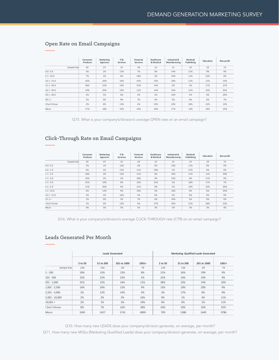|               | Consumer<br>Products | Marketing<br>Agencies | IT&<br>Services | Financial<br><b>Services</b> | Healthcare<br>& Medical | Industrial &<br>Manufacturing | Media &<br>Publishing | Education | Non-profit |
|---------------|----------------------|-----------------------|-----------------|------------------------------|-------------------------|-------------------------------|-----------------------|-----------|------------|
| Sample Size   | 95                   | 97                    | 32              | 28                           | 22                      | 21                            | 19                    | 18        | 15         |
| $0.0 - 5.0$   | 3%                   | 2%                    | 13%             | 7%                           | 9%                      | 14%                           | 21%                   | 0%        | 0%         |
| $5.1 - 10.0$  | 7%                   | 2%                    | 6%              | 18%                          | 5%                      | 19%                           | 11%                   | 22%       | 0%         |
| $10.1 - 15.0$ | 26%                  | 20%                   | 16%             | 25%                          | 23%                     | 10%                           | 11%                   | 11%       | 13%        |
| $15.1 - 20.0$ | 38%                  | 43%                   | 19%             | 25%                          | 14%                     | 0%                            | 5%                    | 17%       | 27%        |
| $20.1 - 30.0$ | 19%                  | 20%                   | 19%             | 11%                          | 14%                     | 19%                           | 21%                   | 22%       | 20%        |
| $30.1 - 40.0$ | 2%                   | 5%                    | 6%              | 4%                           | 5%                      | 10%                           | 5%                    | 0%        | 20%        |
| $40.1 +$      | 2%                   | 0%                    | 9%              | 7%                           | 9%                      | 5%                            | 0%                    | 6%        | 7%         |
| I Don't Know  | 2%                   | 8%                    | 13%             | 4%                           | 23%                     | 24%                           | 26%                   | 22%       | 13%        |
| Mean          | 17%                  | 18%                   | 19%             | 16%                          | 19%                     | 17%                           | 14%                   | 18%       | 24%        |

#### Open Rate on Email Campaigns

Q15. What is your company's/division's average OPEN rate on an email campaign?

#### Click-Through Rate on Email Campaigns

|               | Consumer<br>Products | Marketing<br>Agencies | IT&<br><b>Services</b> | Financial<br>Services | Healthcare<br>& Medical | Industrial &<br>Manufacturing | Media &<br>Publishing | Education | Non-profit |
|---------------|----------------------|-----------------------|------------------------|-----------------------|-------------------------|-------------------------------|-----------------------|-----------|------------|
| Sample Size   | 95                   | 97                    | 32                     | 28                    | 22                      | 21                            | 19                    | 18        | 15         |
| $0.0 - 0.5$   | 2%                   | 1%                    | 13%                    | 4%                    | 0%                      | 10%                           | 11%                   | 0%        | 0%         |
| $0.6 - 1.0$   | 6%                   | 3%                    | 13%                    | 11%                   | 18%                     | 5%                            | 21%                   | 6%        | 0%         |
| $1.1 - 2.0$   | 18%                  | 2%                    | 13%                    | 11%                   | 9%                      | 10%                           | 11%                   | 11%       | 20%        |
| $2.1 - 3.0$   | 16%                  | 2%                    | 3%                     | 18%                   | 9%                      | 14%                           | 0%                    | 11%       | 0%         |
| $3.1 - 4.0$   | 25%                  | 19%                   | 9%                     | 14%                   | 23%                     | 5%                            | 16%                   | 17%       | 7%         |
| $4.1 - 5.0$   | 21%                  | 46%                   | 9%                     | 11%                   | 9%                      | 5%                            | 16%                   | 22%       | 20%        |
| $5.1 - 10.0$  | 6%                   | 14%                   | 9%                     | 18%                   | 5%                      | 10%                           | 0%                    | 6%        | 20%        |
| $10.1 - 15.0$ | 3%                   | 3%                    | 16%                    | 4%                    | 0%                      | 5%                            | 0%                    | 0%        | 0%         |
| $15.1 +$      | 1%                   | 0%                    | 3%                     | 7%                    | 0%                      | 10%                           | 5%                    | 0%        | 0%         |
| I Don't Know  | 1%                   | 9%                    | 13%                    | 4%                    | 27%                     | 29%                           | 21%                   | 28%       | 33%        |
| Mean          | 4%                   | 5%                    | 5%                     | 5%                    | 3%                      | 5%                            | 3%                    | 3%        | 4%         |

Q16. What is your company's/division's average CLICK-THROUGH rate (CTR) on an email campaign?

|                  |         |           | <b>Leads Generated</b> |         |         |           | <b>Marketing Qualified Leads Generated</b> |         |
|------------------|---------|-----------|------------------------|---------|---------|-----------|--------------------------------------------|---------|
|                  | 2 to 50 | 51 to 200 | 201 to 1000            | $1001+$ | 2 to 50 | 51 to 200 | 201 to 1000                                | $1001+$ |
| Sample Size      | 130     | 136       | 69                     | 79      | 130     | 136       | 69                                         | 79      |
| $1 - 100$        | 18%     | 15%       | 13%                    | 8%      | 21%     | 16%       | 19%                                        | 9%      |
| $101 - 500$      | 23%     | 22%       | 23%                    | 5%      | 25%     | 14%       | 19%                                        | 9%      |
| $501 - 1,000$    | 31%     | 15%       | 14%                    | 11%     | 28%     | 23%       | 14%                                        | 10%     |
| $1,001 - 2,500$  | 14%     | 26%       | 13%                    | 9%      | 13%     | 19%       | 20%                                        | 9%      |
| $2,501 - 5,000$  | 2%      | 12%       | 14%                    | 4%      | 3%      | 17%       | 6%                                         | 9%      |
| $5,001 - 10,000$ | 2%      | 2%        | 3%                     | 16%     | 0%      | 1%        | 4%                                         | 11%     |
| $10,001 +$       | 2%      | 1%        | 3%                     | 19%     | 0%      | 0%        | 1%                                         | 11%     |
| I Don't Know     | 8%      | 7%        | 16%                    | 28%     | 10%     | 10%       | 16%                                        | 32%     |
| Mean             | 1045    | 1427      | 1741                   | 4899    | 709     | 1388      | 1449                                       | 3786    |

#### Leads Generated Per Month

Q10. How many new LEADS does your company/division generate, on average, per month?

Q11. How many new MQLs (Marketing Qualified Leads) does your company/division generate, on average, per month?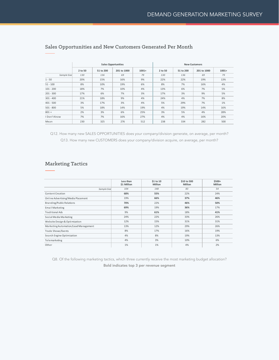|              |         |           | <b>Sales Opportunities</b> |         | <b>New Customers</b> |           |             |         |  |
|--------------|---------|-----------|----------------------------|---------|----------------------|-----------|-------------|---------|--|
|              | 2 to 50 | 51 to 200 | 201 to 1000                | $1001+$ | 2 to 50              | 51 to 200 | 201 to 1000 | $1001+$ |  |
| Sample Size  | 130     | 136       | 69                         | 79      | 130                  | 136       | 69          | 79      |  |
| $1 - 50$     | 20%     | 15%       | 16%                        | 9%      | 22%                  | 22%       | 19%         | 13%     |  |
| $51 - 100$   | 8%      | 10%       | 19%                        | 6%      | 8%                   | 7%        | 16%         | 4%      |  |
| $101 - 200$  | 18%     | 7%        | 10%                        | 4%      | 13%                  | 6%        | 7%          | 5%      |  |
| $201 - 300$  | 17%     | 6%        | 7%                         | 3%      | 17%                  | 3%        | 9%          | 5%      |  |
| $301 - 400$  | 21%     | 18%       | 9%                         | 4%      | 24%                  | 4%        | 7%          | 8%      |  |
| $401 - 500$  | 3%      | 17%       | 3%                         | 4%      | 5%                   | 29%       | 7%          | 1%      |  |
| $501 - 800$  | 5%      | 18%       | 14%                        | 19%     | 4%                   | 19%       | 14%         | 16%     |  |
| $801 +$      | 2%      | 3%        | 6%                         | 25%     | 3%                   | 5%        | 4%          | 28%     |  |
| I Don't Know | 7%      | 7%        | 16%                        | 27%     | 4%                   | 4%        | 16%         | 20%     |  |
| Mean         | 230     | 325       | 276                        | 512     | 238                  | 334       | 282         | 500     |  |

#### Sales Opportunities and New Customers Generated Per Month

Q12. How many new SALES OPPORTUNITIES does your company/division generate, on average, per month? Q13. How many new CUSTOMERS does your company/division acquire, on average, per month?

#### Marketing Tactics

**Less than \$1 Million \$1 to 10 Million \$10 to 500 Million \$500+ Million**  *Sample Size 104 148 83 54* Content Creation **68% 55%** 22% 24% Online Advertising/Media Placement 19% **66% 37% 46%** Branding/Public Relations **70%** 22% **46% 50%** Email Marketing **69%** 19% **36%** 17% Traditional Ads 9% **61%** 18% **41%** Social Media Marketing 24% 22% 33% 26% 26% Website Design & Optimization 12% 12% 15% 31% 31% 31% 31% Marketing Automation/Lead Management 13% 13% 12% 29% 26% 26% Trade Shows/Events 8% 17% 16% 19% Search Engine Optimization 4% 8% 19% 13% Telemarketing 4% 3% 10% 6% Other 1% 1% 4% 2%

Q8. Of the following marketing tactics, which three currently receive the most marketing budget allocation?

Bold indicates top 3 per revenue segment